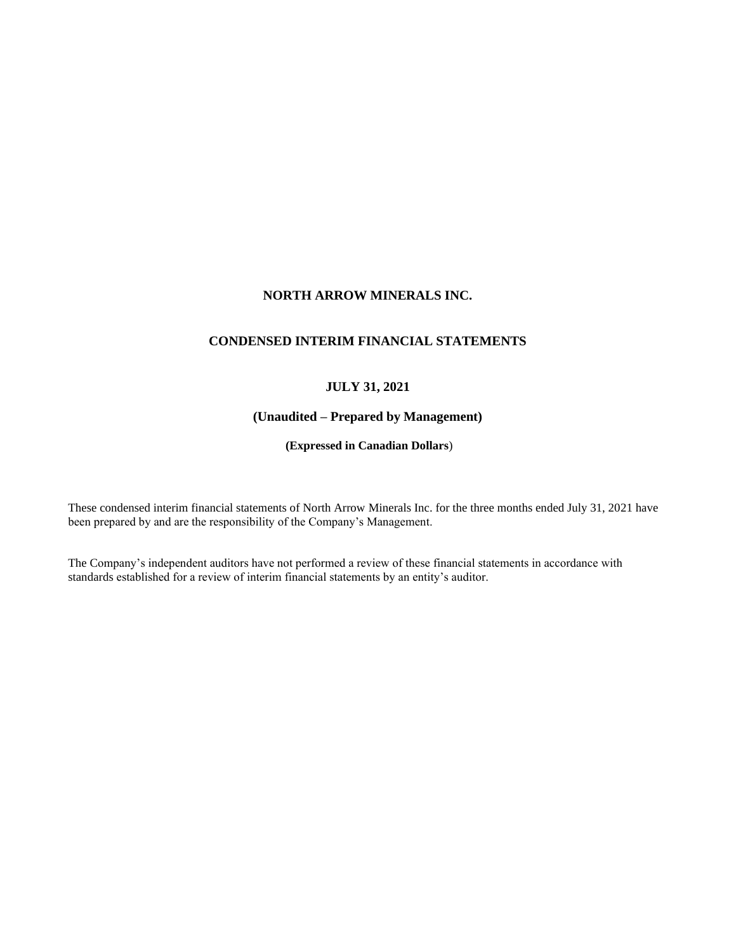# **NORTH ARROW MINERALS INC.**

# **CONDENSED INTERIM FINANCIAL STATEMENTS**

# **JULY 31, 2021**

# **(Unaudited – Prepared by Management)**

**(Expressed in Canadian Dollars**)

These condensed interim financial statements of North Arrow Minerals Inc. for the three months ended July 31, 2021 have been prepared by and are the responsibility of the Company's Management.

The Company's independent auditors have not performed a review of these financial statements in accordance with standards established for a review of interim financial statements by an entity's auditor.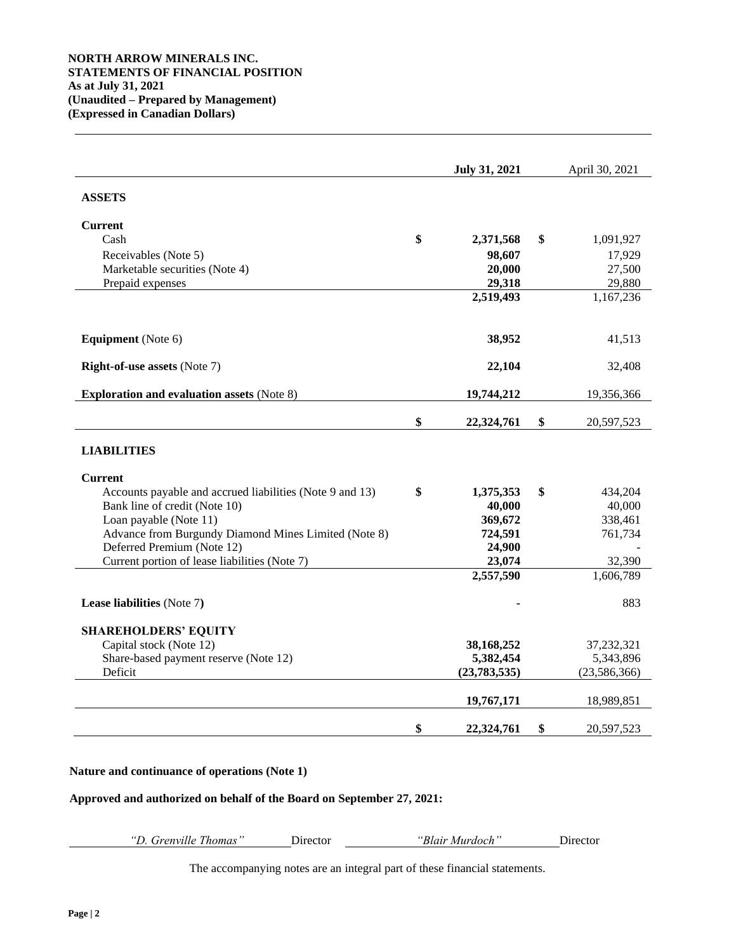|                                                                             | <b>July 31, 2021</b> | April 30, 2021   |
|-----------------------------------------------------------------------------|----------------------|------------------|
| <b>ASSETS</b>                                                               |                      |                  |
| <b>Current</b>                                                              |                      |                  |
| Cash                                                                        | \$<br>2,371,568      | \$<br>1,091,927  |
| Receivables (Note 5)                                                        | 98,607               | 17,929           |
| Marketable securities (Note 4)                                              | 20,000               | 27,500           |
| Prepaid expenses                                                            | 29,318               | 29,880           |
|                                                                             | 2,519,493            | 1,167,236        |
| <b>Equipment</b> (Note 6)                                                   | 38,952               | 41,513           |
| <b>Right-of-use assets (Note 7)</b>                                         | 22,104               | 32,408           |
| <b>Exploration and evaluation assets (Note 8)</b>                           | 19,744,212           | 19,356,366       |
|                                                                             | \$<br>22,324,761     | \$<br>20,597,523 |
| <b>LIABILITIES</b>                                                          |                      |                  |
| <b>Current</b>                                                              |                      |                  |
| Accounts payable and accrued liabilities (Note 9 and 13)                    | \$<br>1,375,353      | \$<br>434,204    |
| Bank line of credit (Note 10)                                               | 40,000               | 40,000           |
| Loan payable (Note 11)                                                      | 369,672              | 338,461          |
| Advance from Burgundy Diamond Mines Limited (Note 8)                        | 724,591              | 761,734          |
| Deferred Premium (Note 12)<br>Current portion of lease liabilities (Note 7) | 24,900<br>23,074     | 32,390           |
|                                                                             | 2,557,590            | 1,606,789        |
| Lease liabilities (Note 7)                                                  |                      | 883              |
| <b>SHAREHOLDERS' EQUITY</b>                                                 |                      |                  |
| Capital stock (Note 12)                                                     | 38,168,252           | 37,232,321       |
| Share-based payment reserve (Note 12)                                       | 5,382,454            | 5,343,896        |
| Deficit                                                                     | (23, 783, 535)       | (23, 586, 366)   |
|                                                                             | 19,767,171           | 18,989,851       |
|                                                                             | \$<br>22,324,761     | \$<br>20,597,523 |

## **Nature and continuance of operations (Note 1)**

## **Approved and authorized on behalf of the Board on September 27, 2021:**

*"D. Grenville Thomas"* Director *"Blair Murdoch"* Director

The accompanying notes are an integral part of these financial statements.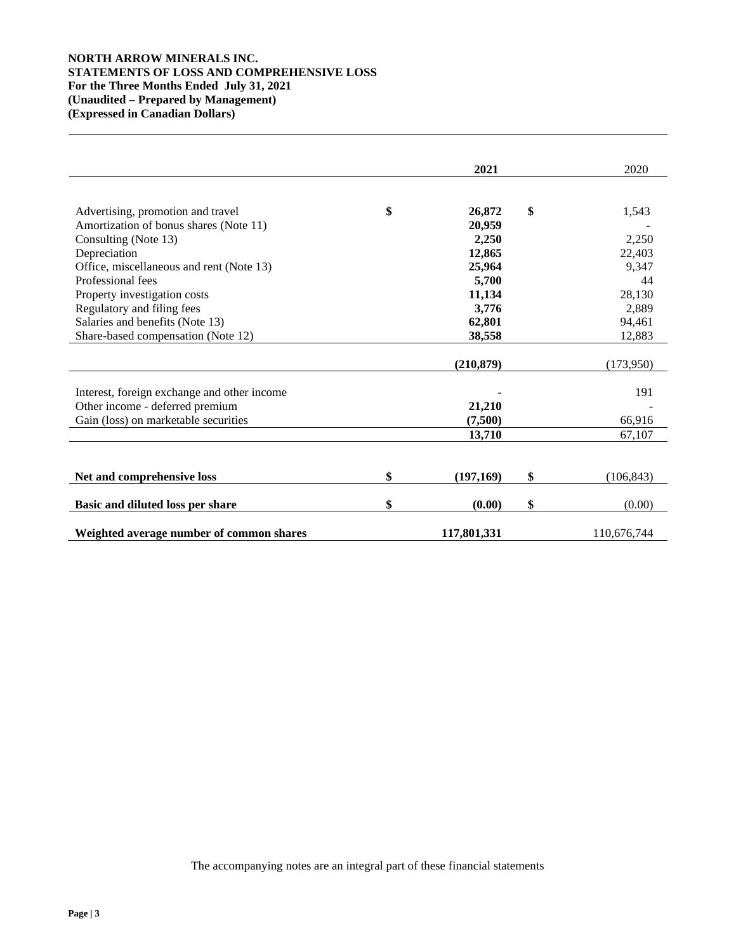# **NORTH ARROW MINERALS INC. STATEMENTS OF LOSS AND COMPREHENSIVE LOSS For the Three Months Ended July 31, 2021 (Unaudited – Prepared by Management) (Expressed in Canadian Dollars)**

|                                             | 2021            | 2020             |
|---------------------------------------------|-----------------|------------------|
|                                             |                 |                  |
| Advertising, promotion and travel           | \$<br>26,872    | \$<br>1,543      |
| Amortization of bonus shares (Note 11)      | 20.959          |                  |
| Consulting (Note 13)                        | 2,250           | 2,250            |
| Depreciation                                | 12,865          | 22,403           |
| Office, miscellaneous and rent (Note 13)    | 25,964          | 9,347            |
| Professional fees                           | 5,700           | 44               |
| Property investigation costs                | 11,134          | 28,130           |
| Regulatory and filing fees                  | 3,776           | 2,889            |
| Salaries and benefits (Note 13)             | 62,801          | 94,461           |
| Share-based compensation (Note 12)          | 38,558          | 12,883           |
|                                             |                 |                  |
|                                             | (210, 879)      | (173,950)        |
|                                             |                 |                  |
| Interest, foreign exchange and other income |                 | 191              |
| Other income - deferred premium             | 21,210          |                  |
| Gain (loss) on marketable securities        | (7,500)         | 66,916           |
|                                             | 13,710          | 67,107           |
|                                             |                 |                  |
| Net and comprehensive loss                  | \$<br>(197,169) | \$<br>(106, 843) |
|                                             |                 |                  |
| Basic and diluted loss per share            | \$<br>(0.00)    | \$<br>(0.00)     |
| Weighted average number of common shares    | 117,801,331     | 110,676,744      |

The accompanying notes are an integral part of these financial statements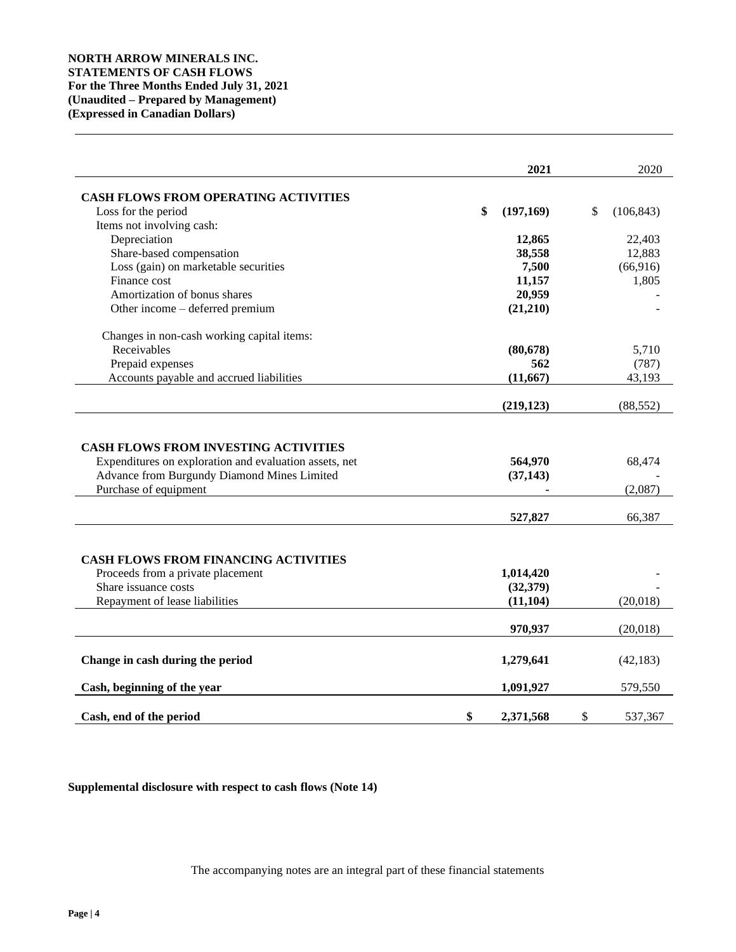|                                                                                                                                                                               | 2021                 | 2020              |
|-------------------------------------------------------------------------------------------------------------------------------------------------------------------------------|----------------------|-------------------|
| <b>CASH FLOWS FROM OPERATING ACTIVITIES</b>                                                                                                                                   |                      |                   |
| Loss for the period                                                                                                                                                           | \$<br>(197, 169)     | \$<br>(106, 843)  |
| Items not involving cash:                                                                                                                                                     |                      |                   |
| Depreciation                                                                                                                                                                  | 12,865               | 22,403            |
| Share-based compensation                                                                                                                                                      | 38,558               | 12,883            |
| Loss (gain) on marketable securities                                                                                                                                          | 7,500                | (66,916)          |
| Finance cost                                                                                                                                                                  | 11,157               | 1,805             |
| Amortization of bonus shares                                                                                                                                                  | 20,959               |                   |
| Other income – deferred premium                                                                                                                                               | (21,210)             |                   |
| Changes in non-cash working capital items:                                                                                                                                    |                      |                   |
| Receivables                                                                                                                                                                   | (80, 678)            | 5,710             |
| Prepaid expenses                                                                                                                                                              | 562                  | (787)             |
| Accounts payable and accrued liabilities                                                                                                                                      | (11, 667)            | 43,193            |
|                                                                                                                                                                               | (219, 123)           | (88, 552)         |
| <b>CASH FLOWS FROM INVESTING ACTIVITIES</b><br>Expenditures on exploration and evaluation assets, net<br>Advance from Burgundy Diamond Mines Limited<br>Purchase of equipment | 564,970<br>(37, 143) | 68,474<br>(2,087) |
|                                                                                                                                                                               | 527,827              | 66,387            |
| <b>CASH FLOWS FROM FINANCING ACTIVITIES</b><br>Proceeds from a private placement                                                                                              | 1,014,420            |                   |
| Share issuance costs                                                                                                                                                          | (32, 379)            |                   |
| Repayment of lease liabilities                                                                                                                                                | (11, 104)            | (20,018)          |
|                                                                                                                                                                               | 970,937              | (20,018)          |
| Change in cash during the period                                                                                                                                              | 1,279,641            | (42, 183)         |
| Cash, beginning of the year                                                                                                                                                   | 1,091,927            | 579,550           |
| Cash, end of the period                                                                                                                                                       | \$<br>2,371,568      | \$<br>537,367     |

**Supplemental disclosure with respect to cash flows (Note 14)**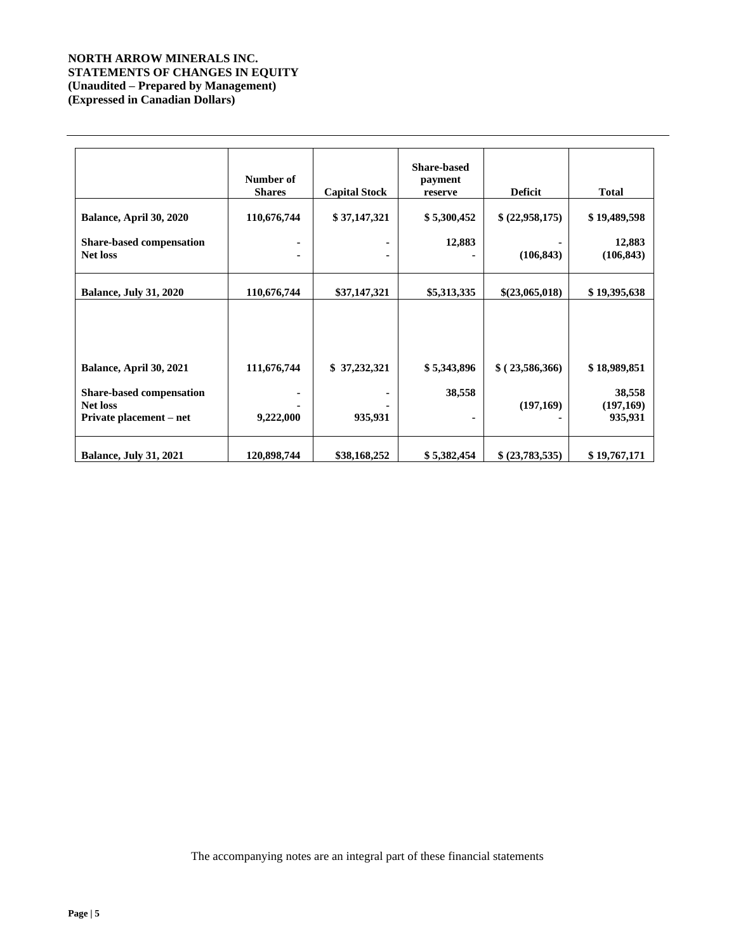# **NORTH ARROW MINERALS INC. STATEMENTS OF CHANGES IN EQUITY (Unaudited – Prepared by Management) (Expressed in Canadian Dollars)**

|                                                                               | Number of<br><b>Shares</b> | <b>Capital Stock</b> | <b>Share-based</b><br>payment<br>reserve | <b>Deficit</b> | <b>Total</b>                   |
|-------------------------------------------------------------------------------|----------------------------|----------------------|------------------------------------------|----------------|--------------------------------|
| Balance, April 30, 2020                                                       | 110,676,744                | \$37,147,321         | \$5,300,452                              | \$(22,958,175) | \$19,489,598                   |
| <b>Share-based compensation</b><br><b>Net loss</b>                            |                            | ٠<br>$\blacksquare$  | 12,883                                   | (106, 843)     | 12,883<br>(106, 843)           |
| <b>Balance, July 31, 2020</b>                                                 | 110,676,744                | \$37,147,321         | \$5,313,335                              | \$(23,065,018) | \$19,395,638                   |
| Balance, April 30, 2021                                                       | 111,676,744                | \$37,232,321         | \$5,343,896                              | \$(23,586,366) | \$18,989,851                   |
| <b>Share-based compensation</b><br><b>Net loss</b><br>Private placement – net | 9,222,000                  | 935,931              | 38,558                                   | (197,169)      | 38,558<br>(197,169)<br>935,931 |
| <b>Balance, July 31, 2021</b>                                                 | 120,898,744                | \$38,168,252         | \$5,382,454                              | \$(23,783,535) | \$19,767,171                   |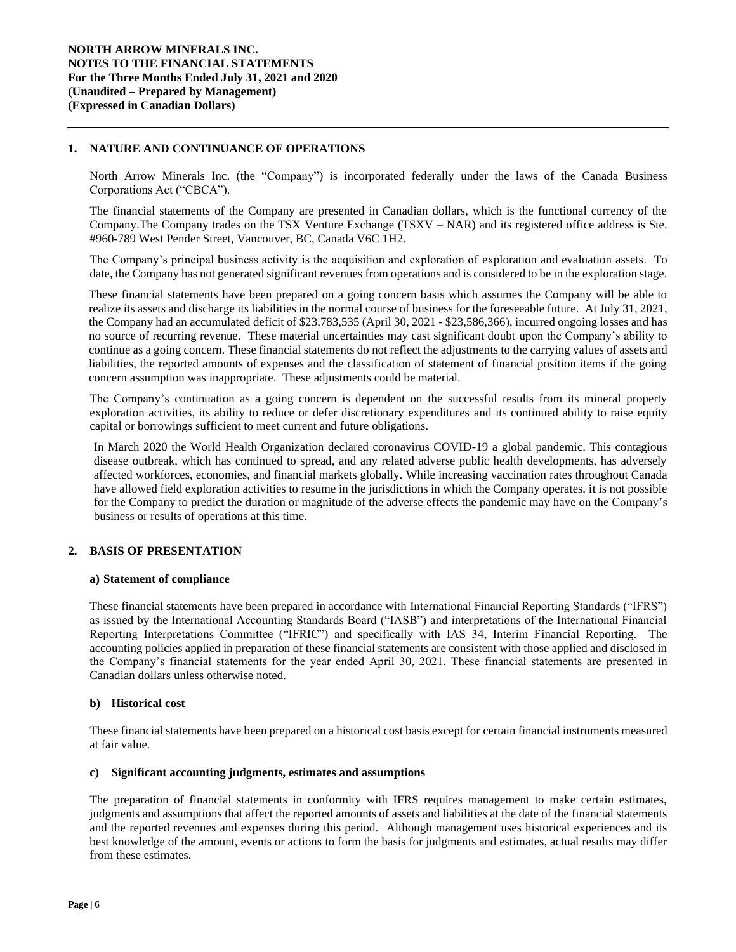## **1. NATURE AND CONTINUANCE OF OPERATIONS**

North Arrow Minerals Inc. (the "Company") is incorporated federally under the laws of the Canada Business Corporations Act ("CBCA").

The financial statements of the Company are presented in Canadian dollars, which is the functional currency of the Company.The Company trades on the TSX Venture Exchange (TSXV – NAR) and its registered office address is Ste. #960-789 West Pender Street, Vancouver, BC, Canada V6C 1H2.

The Company's principal business activity is the acquisition and exploration of exploration and evaluation assets. To date, the Company has not generated significant revenues from operations and is considered to be in the exploration stage.

These financial statements have been prepared on a going concern basis which assumes the Company will be able to realize its assets and discharge its liabilities in the normal course of business for the foreseeable future. At July 31, 2021, the Company had an accumulated deficit of \$23,783,535 (April 30, 2021 - \$23,586,366), incurred ongoing losses and has no source of recurring revenue. These material uncertainties may cast significant doubt upon the Company's ability to continue as a going concern. These financial statements do not reflect the adjustments to the carrying values of assets and liabilities, the reported amounts of expenses and the classification of statement of financial position items if the going concern assumption was inappropriate. These adjustments could be material.

The Company's continuation as a going concern is dependent on the successful results from its mineral property exploration activities, its ability to reduce or defer discretionary expenditures and its continued ability to raise equity capital or borrowings sufficient to meet current and future obligations.

In March 2020 the World Health Organization declared coronavirus COVID-19 a global pandemic. This contagious disease outbreak, which has continued to spread, and any related adverse public health developments, has adversely affected workforces, economies, and financial markets globally. While increasing vaccination rates throughout Canada have allowed field exploration activities to resume in the jurisdictions in which the Company operates, it is not possible for the Company to predict the duration or magnitude of the adverse effects the pandemic may have on the Company's business or results of operations at this time.

# **2. BASIS OF PRESENTATION**

#### **a) Statement of compliance**

These financial statements have been prepared in accordance with International Financial Reporting Standards ("IFRS") as issued by the International Accounting Standards Board ("IASB") and interpretations of the International Financial Reporting Interpretations Committee ("IFRIC") and specifically with IAS 34, Interim Financial Reporting. The accounting policies applied in preparation of these financial statements are consistent with those applied and disclosed in the Company's financial statements for the year ended April 30, 2021. These financial statements are presented in Canadian dollars unless otherwise noted.

#### **b) Historical cost**

These financial statements have been prepared on a historical cost basis except for certain financial instruments measured at fair value.

#### **c) Significant accounting judgments, estimates and assumptions**

The preparation of financial statements in conformity with IFRS requires management to make certain estimates, judgments and assumptions that affect the reported amounts of assets and liabilities at the date of the financial statements and the reported revenues and expenses during this period. Although management uses historical experiences and its best knowledge of the amount, events or actions to form the basis for judgments and estimates, actual results may differ from these estimates.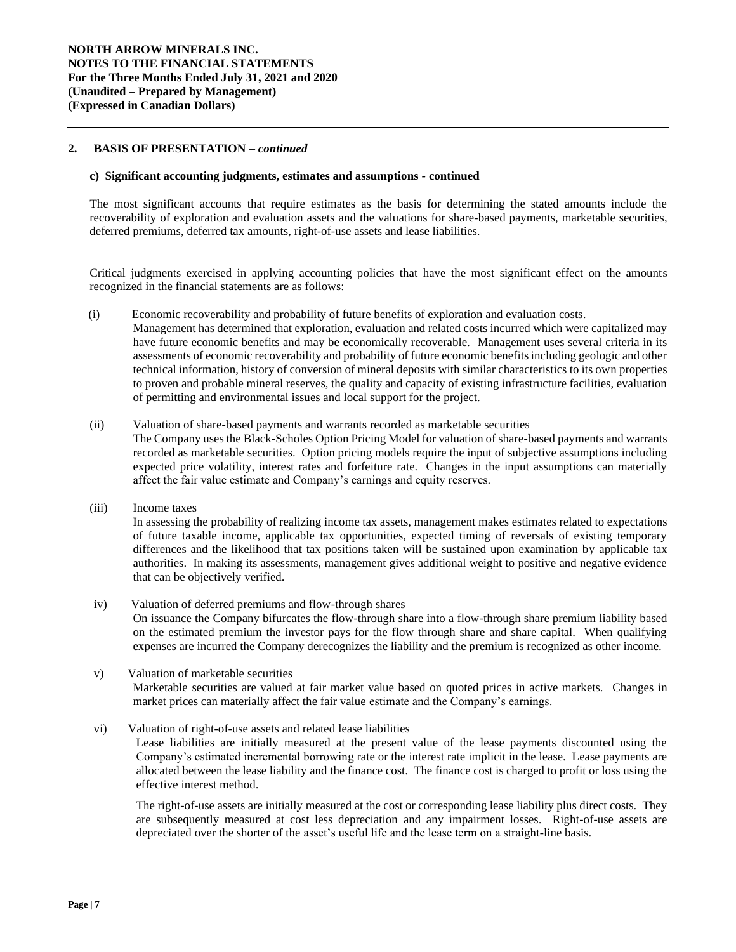## **2. BASIS OF PRESENTATION –** *continued*

#### **c) Significant accounting judgments, estimates and assumptions** *-* **continued**

The most significant accounts that require estimates as the basis for determining the stated amounts include the recoverability of exploration and evaluation assets and the valuations for share-based payments, marketable securities, deferred premiums, deferred tax amounts, right-of-use assets and lease liabilities.

Critical judgments exercised in applying accounting policies that have the most significant effect on the amounts recognized in the financial statements are as follows:

(i) Economic recoverability and probability of future benefits of exploration and evaluation costs*.*  Management has determined that exploration, evaluation and related costs incurred which were capitalized may have future economic benefits and may be economically recoverable. Management uses several criteria in its assessments of economic recoverability and probability of future economic benefits including geologic and other technical information, history of conversion of mineral deposits with similar characteristics to its own properties to proven and probable mineral reserves, the quality and capacity of existing infrastructure facilities, evaluation of permitting and environmental issues and local support for the project.

#### (ii) Valuation of share-based payments and warrants recorded as marketable securities

The Company uses the Black-Scholes Option Pricing Model for valuation of share-based payments and warrants recorded as marketable securities. Option pricing models require the input of subjective assumptions including expected price volatility, interest rates and forfeiture rate. Changes in the input assumptions can materially affect the fair value estimate and Company's earnings and equity reserves.

(iii) Income taxes

effective interest method.

In assessing the probability of realizing income tax assets, management makes estimates related to expectations of future taxable income, applicable tax opportunities, expected timing of reversals of existing temporary differences and the likelihood that tax positions taken will be sustained upon examination by applicable tax authorities. In making its assessments, management gives additional weight to positive and negative evidence that can be objectively verified.

- iv) Valuation of deferred premiums and flow-through shares On issuance the Company bifurcates the flow-through share into a flow-through share premium liability based on the estimated premium the investor pays for the flow through share and share capital. When qualifying expenses are incurred the Company derecognizes the liability and the premium is recognized as other income.
- v) Valuation of marketable securities Marketable securities are valued at fair market value based on quoted prices in active markets. Changes in market prices can materially affect the fair value estimate and the Company's earnings.
- vi) Valuation of right-of-use assets and related lease liabilities Lease liabilities are initially measured at the present value of the lease payments discounted using the Company's estimated incremental borrowing rate or the interest rate implicit in the lease. Lease payments are allocated between the lease liability and the finance cost. The finance cost is charged to profit or loss using the

The right-of-use assets are initially measured at the cost or corresponding lease liability plus direct costs. They are subsequently measured at cost less depreciation and any impairment losses. Right-of-use assets are depreciated over the shorter of the asset's useful life and the lease term on a straight-line basis.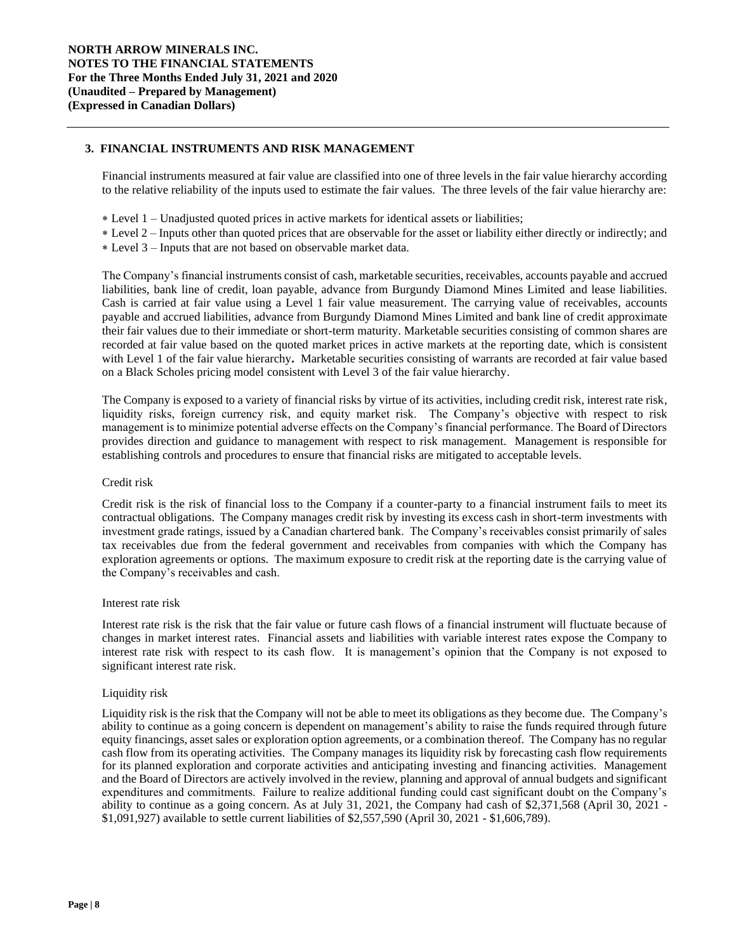# **3. FINANCIAL INSTRUMENTS AND RISK MANAGEMENT**

Financial instruments measured at fair value are classified into one of three levels in the fair value hierarchy according to the relative reliability of the inputs used to estimate the fair values. The three levels of the fair value hierarchy are:

- Level 1 Unadjusted quoted prices in active markets for identical assets or liabilities;
- Level 2 Inputs other than quoted prices that are observable for the asset or liability either directly or indirectly; and
- Level 3 Inputs that are not based on observable market data.

The Company's financial instruments consist of cash, marketable securities, receivables, accounts payable and accrued liabilities, bank line of credit, loan payable, advance from Burgundy Diamond Mines Limited and lease liabilities. Cash is carried at fair value using a Level 1 fair value measurement. The carrying value of receivables, accounts payable and accrued liabilities, advance from Burgundy Diamond Mines Limited and bank line of credit approximate their fair values due to their immediate or short-term maturity. Marketable securities consisting of common shares are recorded at fair value based on the quoted market prices in active markets at the reporting date, which is consistent with Level 1 of the fair value hierarchy. Marketable securities consisting of warrants are recorded at fair value based on a Black Scholes pricing model consistent with Level 3 of the fair value hierarchy.

The Company is exposed to a variety of financial risks by virtue of its activities, including credit risk, interest rate risk, liquidity risks, foreign currency risk, and equity market risk. The Company's objective with respect to risk management is to minimize potential adverse effects on the Company's financial performance. The Board of Directors provides direction and guidance to management with respect to risk management. Management is responsible for establishing controls and procedures to ensure that financial risks are mitigated to acceptable levels.

#### Credit risk

Credit risk is the risk of financial loss to the Company if a counter-party to a financial instrument fails to meet its contractual obligations. The Company manages credit risk by investing its excess cash in short-term investments with investment grade ratings, issued by a Canadian chartered bank. The Company's receivables consist primarily of sales tax receivables due from the federal government and receivables from companies with which the Company has exploration agreements or options. The maximum exposure to credit risk at the reporting date is the carrying value of the Company's receivables and cash.

#### Interest rate risk

Interest rate risk is the risk that the fair value or future cash flows of a financial instrument will fluctuate because of changes in market interest rates. Financial assets and liabilities with variable interest rates expose the Company to interest rate risk with respect to its cash flow. It is management's opinion that the Company is not exposed to significant interest rate risk.

## Liquidity risk

Liquidity risk is the risk that the Company will not be able to meet its obligations as they become due. The Company's ability to continue as a going concern is dependent on management's ability to raise the funds required through future equity financings, asset sales or exploration option agreements, or a combination thereof. The Company has no regular cash flow from its operating activities. The Company manages its liquidity risk by forecasting cash flow requirements for its planned exploration and corporate activities and anticipating investing and financing activities. Management and the Board of Directors are actively involved in the review, planning and approval of annual budgets and significant expenditures and commitments. Failure to realize additional funding could cast significant doubt on the Company's ability to continue as a going concern. As at July 31, 2021, the Company had cash of \$2,371,568 (April 30, 2021 - \$1,091,927) available to settle current liabilities of \$2,557,590 (April 30, 2021 - \$1,606,789).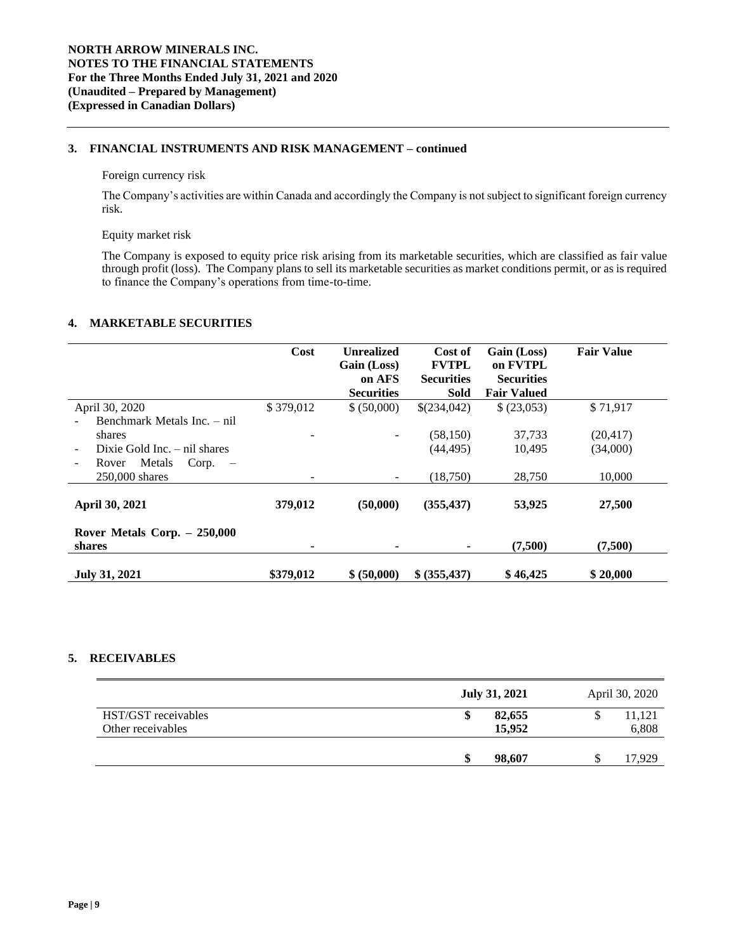# **3. FINANCIAL INSTRUMENTS AND RISK MANAGEMENT – continued**

#### Foreign currency risk

The Company's activities are within Canada and accordingly the Company is not subject to significant foreign currency risk.

#### Equity market risk

The Company is exposed to equity price risk arising from its marketable securities, which are classified as fair value through profit (loss). The Company plans to sell its marketable securities as market conditions permit, or as is required to finance the Company's operations from time-to-time.

## **4. MARKETABLE SECURITIES**

|                                                                                                                                 | Cost      | <b>Unrealized</b><br>Gain (Loss)<br>on AFS<br><b>Securities</b> | Cost of<br><b>FVTPL</b><br><b>Securities</b><br><b>Sold</b> | Gain (Loss)<br>on FVTPL<br><b>Securities</b><br><b>Fair Valued</b> | <b>Fair Value</b>     |
|---------------------------------------------------------------------------------------------------------------------------------|-----------|-----------------------------------------------------------------|-------------------------------------------------------------|--------------------------------------------------------------------|-----------------------|
| April 30, 2020                                                                                                                  | \$379,012 | \$ (50,000)                                                     | \$(234,042)                                                 | \$ (23,053)                                                        | \$71,917              |
| Benchmark Metals Inc. – nil<br>shares<br>Dixie Gold Inc. $-$ nil shares<br>Metals<br>Corp.<br>Rover<br>$\overline{\phantom{0}}$ |           |                                                                 | (58, 150)<br>(44, 495)                                      | 37,733<br>10,495                                                   | (20, 417)<br>(34,000) |
| 250,000 shares                                                                                                                  |           |                                                                 | (18,750)                                                    | 28,750                                                             | 10,000                |
| April 30, 2021                                                                                                                  | 379,012   | (50,000)                                                        | (355, 437)                                                  | 53,925                                                             | 27,500                |
| Rover Metals Corp. $-250,000$<br>shares                                                                                         | ۰         |                                                                 |                                                             | (7,500)                                                            | (7,500)               |
| <b>July 31, 2021</b>                                                                                                            | \$379,012 | \$ (50,000)                                                     | \$ (355, 437)                                               | \$46,425                                                           | \$20,000              |

# **5. RECEIVABLES**

|                     | <b>July 31, 2021</b> | April 30, 2020 |
|---------------------|----------------------|----------------|
| HST/GST receivables | 82,655               | 11,121         |
| Other receivables   | 15,952               | 6,808          |
|                     | 98,607               | 17,929         |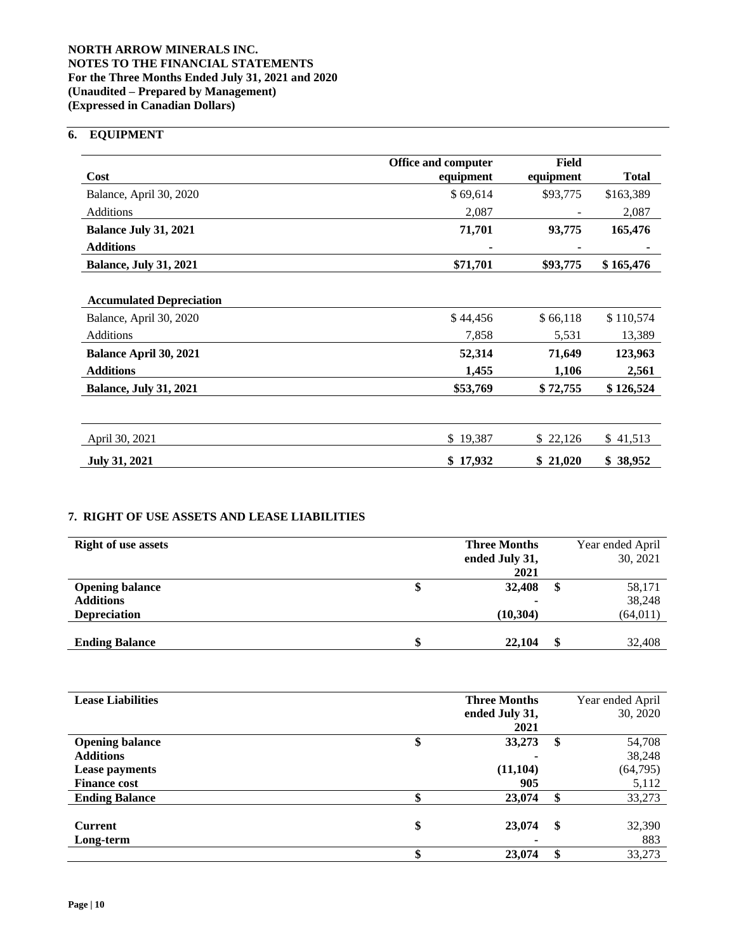# **NORTH ARROW MINERALS INC. NOTES TO THE FINANCIAL STATEMENTS For the Three Months Ended July 31, 2021 and 2020 (Unaudited – Prepared by Management) (Expressed in Canadian Dollars)**

# **6. EQUIPMENT**

|                                 | <b>Office and computer</b> | Field     |              |
|---------------------------------|----------------------------|-----------|--------------|
| Cost                            | equipment                  | equipment | <b>Total</b> |
| Balance, April 30, 2020         | \$69,614                   | \$93,775  | \$163,389    |
| Additions                       | 2,087                      |           | 2,087        |
| <b>Balance July 31, 2021</b>    | 71,701                     | 93,775    | 165,476      |
| <b>Additions</b>                |                            |           |              |
| <b>Balance, July 31, 2021</b>   | \$71,701                   | \$93,775  | \$165,476    |
|                                 |                            |           |              |
| <b>Accumulated Depreciation</b> |                            |           |              |
| Balance, April 30, 2020         | \$44,456                   | \$66,118  | \$110,574    |
| Additions                       | 7,858                      | 5,531     | 13,389       |
| Balance April 30, 2021          | 52,314                     | 71,649    | 123,963      |
| <b>Additions</b>                | 1,455                      | 1,106     | 2,561        |
| <b>Balance, July 31, 2021</b>   | \$53,769                   | \$72,755  | \$126,524    |
|                                 |                            |           |              |
| April 30, 2021                  | \$19,387                   | \$22,126  | \$41,513     |
| <b>July 31, 2021</b>            | \$17,932                   | \$21,020  | \$38,952     |

# **7. RIGHT OF USE ASSETS AND LEASE LIABILITIES**

| <b>Right of use assets</b> | <b>Three Months</b> |   | Year ended April |
|----------------------------|---------------------|---|------------------|
|                            | ended July 31,      |   | 30, 2021         |
|                            | 2021                |   |                  |
| <b>Opening balance</b>     | \$<br>32,408        | æ | 58,171           |
| <b>Additions</b>           | $\blacksquare$      |   | 38,248           |
| <b>Depreciation</b>        | (10, 304)           |   | (64, 011)        |
|                            |                     |   |                  |
| <b>Ending Balance</b>      | 22,104              |   | 32,408           |

| <b>Lease Liabilities</b> | <b>Three Months</b>      |               | Year ended April |
|--------------------------|--------------------------|---------------|------------------|
|                          | ended July 31,           |               | 30, 2020         |
|                          | 2021                     |               |                  |
| <b>Opening balance</b>   | \$<br>33,273             | \$            | 54,708           |
| <b>Additions</b>         |                          |               | 38,248           |
| Lease payments           | (11, 104)                |               | (64, 795)        |
| <b>Finance cost</b>      | 905                      |               | 5,112            |
| <b>Ending Balance</b>    | 23,074                   |               | 33,273           |
|                          |                          |               |                  |
| <b>Current</b>           | \$<br>23,074             | <sup>\$</sup> | 32,390           |
| Long-term                | $\overline{\phantom{a}}$ |               | 883              |
|                          | \$<br>23,074             | \$            | 33,273           |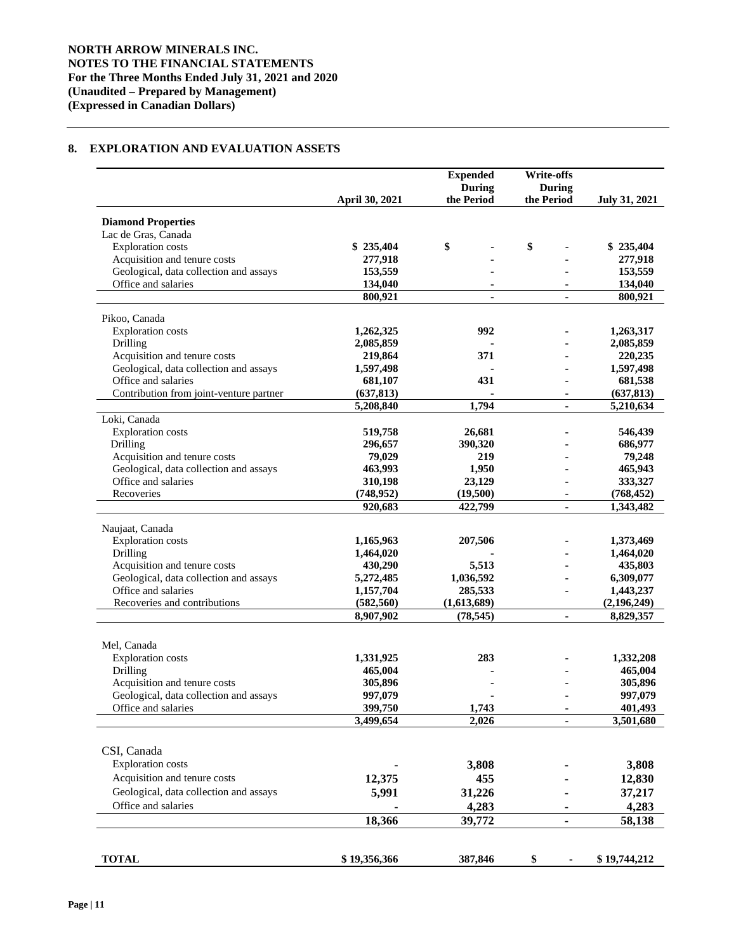# **8. EXPLORATION AND EVALUATION ASSETS**

|                                         |                       | <b>Expended</b><br>During | <b>Write-offs</b><br><b>During</b> |                      |
|-----------------------------------------|-----------------------|---------------------------|------------------------------------|----------------------|
|                                         | <b>April 30, 2021</b> | the Period                | the Period                         | <b>July 31, 2021</b> |
| <b>Diamond Properties</b>               |                       |                           |                                    |                      |
| Lac de Gras, Canada                     |                       |                           |                                    |                      |
| <b>Exploration costs</b>                | \$235,404             | \$                        | \$                                 | \$235,404            |
| Acquisition and tenure costs            | 277,918               |                           |                                    | 277,918              |
| Geological, data collection and assays  | 153,559               |                           |                                    | 153,559              |
| Office and salaries                     | 134,040               |                           |                                    | 134,040              |
|                                         | 800,921               |                           |                                    | 800,921              |
| Pikoo, Canada                           |                       |                           |                                    |                      |
| <b>Exploration costs</b>                | 1,262,325             | 992                       |                                    | 1,263,317            |
| Drilling                                | 2,085,859             |                           |                                    | 2,085,859            |
| Acquisition and tenure costs            | 219,864               | 371                       |                                    | 220,235              |
| Geological, data collection and assays  | 1,597,498             |                           |                                    | 1,597,498            |
| Office and salaries                     | 681,107               | 431                       |                                    | 681,538              |
| Contribution from joint-venture partner | (637, 813)            |                           |                                    | (637, 813)           |
|                                         | 5,208,840             | 1,794                     |                                    | 5,210,634            |
| Loki, Canada                            |                       |                           |                                    |                      |
| <b>Exploration</b> costs                | 519,758               | 26,681                    |                                    | 546,439              |
| Drilling                                | 296,657               | 390,320                   |                                    | 686,977              |
| Acquisition and tenure costs            | 79,029                | 219                       |                                    | 79,248               |
| Geological, data collection and assays  | 463,993               | 1,950                     |                                    | 465,943              |
| Office and salaries                     | 310,198               | 23,129                    |                                    | 333,327              |
| Recoveries                              | (748, 952)            | (19,500)                  |                                    | (768, 452)           |
|                                         | 920,683               | 422,799                   | ٠                                  | 1,343,482            |
| Naujaat, Canada                         |                       |                           |                                    |                      |
| <b>Exploration</b> costs                | 1,165,963             | 207,506                   |                                    | 1,373,469            |
| Drilling                                | 1,464,020             |                           |                                    | 1,464,020            |
| Acquisition and tenure costs            | 430,290               | 5,513                     |                                    | 435,803              |
| Geological, data collection and assays  | 5,272,485             | 1,036,592                 |                                    | 6,309,077            |
| Office and salaries                     | 1,157,704             | 285,533                   |                                    | 1,443,237            |
| Recoveries and contributions            | (582, 560)            | (1,613,689)               |                                    | (2,196,249)          |
|                                         | 8,907,902             | (78, 545)                 |                                    | 8,829,357            |
|                                         |                       |                           |                                    |                      |
| Mel, Canada                             |                       |                           |                                    |                      |
| <b>Exploration</b> costs                | 1,331,925             | 283                       |                                    | 1,332,208            |
| Drilling                                | 465,004               |                           |                                    | 465,004              |
| Acquisition and tenure costs            | 305,896               |                           |                                    | 305,896              |
| Geological, data collection and assays  | 997,079               |                           |                                    | 997,079              |
| Office and salaries                     | 399,750               | 1,743                     |                                    | 401,493              |
|                                         | 3,499,654             | 2,026                     | ÷.                                 | 3,501,680            |
| CSI, Canada                             |                       |                           |                                    |                      |
|                                         |                       |                           |                                    |                      |
| <b>Exploration</b> costs                |                       | 3,808                     |                                    | 3,808                |
| Acquisition and tenure costs            | 12,375                | 455                       |                                    | 12,830               |
| Geological, data collection and assays  | 5,991                 | 31,226                    |                                    | 37,217               |
| Office and salaries                     |                       | 4,283                     |                                    | 4,283                |
|                                         | 18,366                | 39,772                    | Ξ.                                 | 58,138               |
|                                         |                       |                           |                                    |                      |
| <b>TOTAL</b>                            | \$19,356,366          | 387,846                   | \$                                 | \$19,744,212         |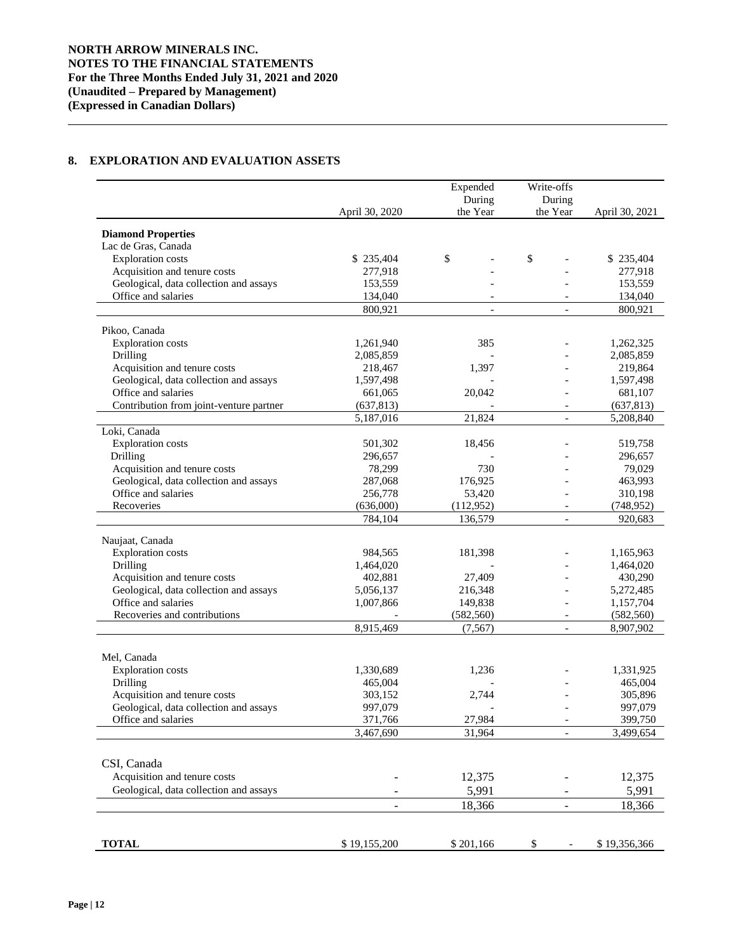# **8. EXPLORATION AND EVALUATION ASSETS**

|                                                               |                          | Expended<br>During       | Write-offs<br>During     |                      |
|---------------------------------------------------------------|--------------------------|--------------------------|--------------------------|----------------------|
|                                                               | April 30, 2020           | the Year                 | the Year                 | April 30, 2021       |
| <b>Diamond Properties</b>                                     |                          |                          |                          |                      |
| Lac de Gras, Canada                                           |                          |                          |                          |                      |
| <b>Exploration</b> costs                                      | \$235,404                | \$                       | \$                       | \$235,404            |
| Acquisition and tenure costs                                  | 277,918                  |                          |                          | 277,918              |
| Geological, data collection and assays                        | 153,559                  |                          |                          | 153,559              |
| Office and salaries                                           | 134,040                  |                          |                          | 134,040              |
|                                                               | 800,921                  | $\overline{\phantom{a}}$ | $\overline{\phantom{a}}$ | 800,921              |
| Pikoo, Canada                                                 |                          |                          |                          |                      |
| <b>Exploration</b> costs                                      | 1,261,940                | 385                      |                          | 1,262,325            |
|                                                               |                          |                          |                          |                      |
| Drilling<br>Acquisition and tenure costs                      | 2,085,859<br>218,467     | 1,397                    |                          | 2,085,859<br>219,864 |
|                                                               |                          |                          |                          |                      |
| Geological, data collection and assays<br>Office and salaries | 1,597,498                |                          |                          | 1,597,498            |
|                                                               | 661,065                  | 20,042                   |                          | 681,107              |
| Contribution from joint-venture partner                       | (637, 813)               |                          |                          | (637, 813)           |
|                                                               | 5,187,016                | 21,824                   | $\overline{a}$           | 5,208,840            |
| Loki, Canada                                                  |                          |                          |                          |                      |
| <b>Exploration</b> costs                                      | 501,302                  | 18,456                   |                          | 519,758              |
| Drilling                                                      | 296,657                  |                          |                          | 296,657              |
| Acquisition and tenure costs                                  | 78,299                   | 730                      |                          | 79,029               |
| Geological, data collection and assays                        | 287,068                  | 176,925                  |                          | 463,993              |
| Office and salaries                                           | 256,778                  | 53,420                   |                          | 310,198              |
| Recoveries                                                    | (636,000)                | (112,952)                |                          | (748, 952)           |
|                                                               | 784,104                  | 136,579                  | $\overline{\phantom{a}}$ | 920,683              |
|                                                               |                          |                          |                          |                      |
| Naujaat, Canada                                               |                          |                          |                          |                      |
| <b>Exploration costs</b>                                      | 984,565                  | 181,398                  |                          | 1,165,963            |
| Drilling                                                      | 1,464,020                |                          |                          | 1,464,020            |
| Acquisition and tenure costs                                  | 402,881                  | 27,409                   |                          | 430,290              |
| Geological, data collection and assays                        | 5,056,137                | 216,348                  |                          | 5,272,485            |
| Office and salaries                                           | 1,007,866                | 149,838                  |                          | 1,157,704            |
| Recoveries and contributions                                  |                          | (582, 560)               | $\overline{\phantom{a}}$ | (582, 560)           |
|                                                               | 8,915,469                | (7, 567)                 |                          | 8,907,902            |
|                                                               |                          |                          |                          |                      |
| Mel, Canada                                                   |                          |                          |                          |                      |
| <b>Exploration</b> costs                                      | 1,330,689                | 1,236                    |                          | 1,331,925            |
| Drilling                                                      | 465,004                  |                          |                          | 465,004              |
| Acquisition and tenure costs                                  | 303,152                  | 2,744                    |                          | 305,896              |
| Geological, data collection and assays                        | 997,079                  |                          |                          | 997,079              |
| Office and salaries                                           | 371,766                  | 27,984                   | $\overline{\phantom{a}}$ | 399,750              |
|                                                               | 3,467,690                | 31,964                   |                          | 3,499,654            |
|                                                               |                          |                          |                          |                      |
| CSI, Canada                                                   |                          |                          |                          |                      |
| Acquisition and tenure costs                                  |                          | 12,375                   |                          | 12,375               |
| Geological, data collection and assays                        |                          | 5,991                    |                          | 5,991                |
|                                                               | $\overline{\phantom{0}}$ | 18,366                   | $\overline{\phantom{a}}$ | 18,366               |
|                                                               |                          |                          |                          |                      |
| <b>TOTAL</b>                                                  | \$19,155,200             | \$201,166                | \$                       | \$19,356,366         |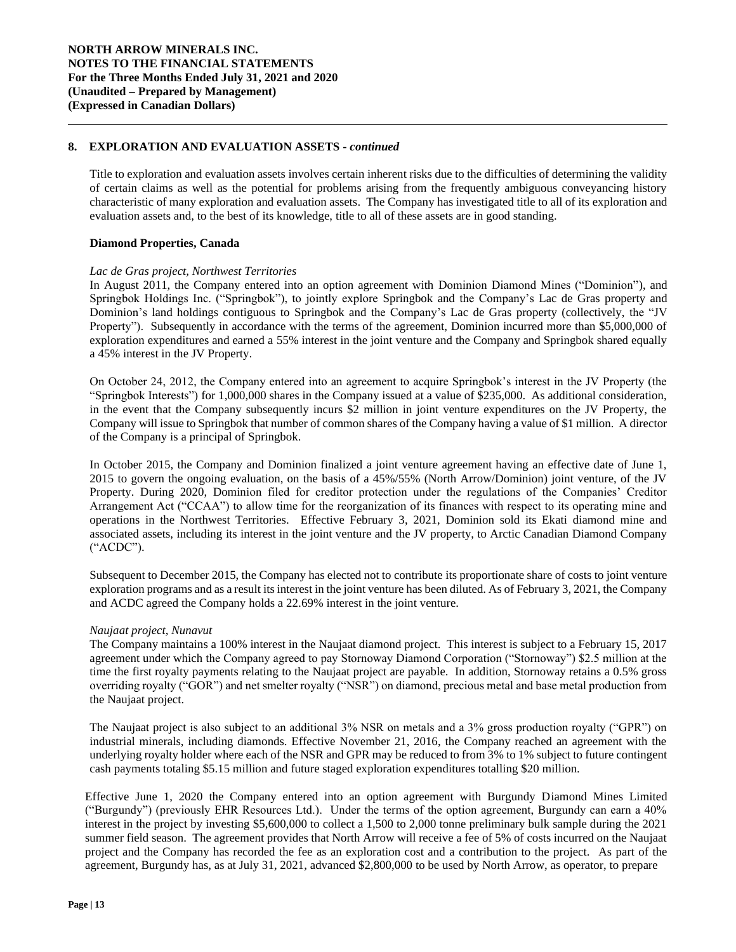## **8. EXPLORATION AND EVALUATION ASSETS -** *continued*

Title to exploration and evaluation assets involves certain inherent risks due to the difficulties of determining the validity of certain claims as well as the potential for problems arising from the frequently ambiguous conveyancing history characteristic of many exploration and evaluation assets. The Company has investigated title to all of its exploration and evaluation assets and, to the best of its knowledge, title to all of these assets are in good standing.

## **Diamond Properties, Canada**

#### *Lac de Gras project, Northwest Territories*

In August 2011, the Company entered into an option agreement with Dominion Diamond Mines ("Dominion"), and Springbok Holdings Inc. ("Springbok"), to jointly explore Springbok and the Company's Lac de Gras property and Dominion's land holdings contiguous to Springbok and the Company's Lac de Gras property (collectively, the "JV Property"). Subsequently in accordance with the terms of the agreement, Dominion incurred more than \$5,000,000 of exploration expenditures and earned a 55% interest in the joint venture and the Company and Springbok shared equally a 45% interest in the JV Property.

On October 24, 2012, the Company entered into an agreement to acquire Springbok's interest in the JV Property (the "Springbok Interests") for 1,000,000 shares in the Company issued at a value of \$235,000. As additional consideration, in the event that the Company subsequently incurs \$2 million in joint venture expenditures on the JV Property, the Company will issue to Springbok that number of common shares of the Company having a value of \$1 million. A director of the Company is a principal of Springbok.

In October 2015, the Company and Dominion finalized a joint venture agreement having an effective date of June 1, 2015 to govern the ongoing evaluation, on the basis of a 45%/55% (North Arrow/Dominion) joint venture, of the JV Property. During 2020, Dominion filed for creditor protection under the regulations of the Companies' Creditor Arrangement Act ("CCAA") to allow time for the reorganization of its finances with respect to its operating mine and operations in the Northwest Territories. Effective February 3, 2021, Dominion sold its Ekati diamond mine and associated assets, including its interest in the joint venture and the JV property, to Arctic Canadian Diamond Company ("ACDC").

Subsequent to December 2015, the Company has elected not to contribute its proportionate share of costs to joint venture exploration programs and as a result its interest in the joint venture has been diluted. As of February 3, 2021, the Company and ACDC agreed the Company holds a 22.69% interest in the joint venture.

#### *Naujaat project, Nunavut*

The Company maintains a 100% interest in the Naujaat diamond project. This interest is subject to a February 15, 2017 agreement under which the Company agreed to pay Stornoway Diamond Corporation ("Stornoway") \$2.5 million at the time the first royalty payments relating to the Naujaat project are payable. In addition, Stornoway retains a 0.5% gross overriding royalty ("GOR") and net smelter royalty ("NSR") on diamond, precious metal and base metal production from the Naujaat project.

The Naujaat project is also subject to an additional 3% NSR on metals and a 3% gross production royalty ("GPR") on industrial minerals, including diamonds. Effective November 21, 2016, the Company reached an agreement with the underlying royalty holder where each of the NSR and GPR may be reduced to from 3% to 1% subject to future contingent cash payments totaling \$5.15 million and future staged exploration expenditures totalling \$20 million.

Effective June 1, 2020 the Company entered into an option agreement with Burgundy Diamond Mines Limited ("Burgundy") (previously EHR Resources Ltd.). Under the terms of the option agreement, Burgundy can earn a 40% interest in the project by investing \$5,600,000 to collect a 1,500 to 2,000 tonne preliminary bulk sample during the 2021 summer field season. The agreement provides that North Arrow will receive a fee of 5% of costs incurred on the Naujaat project and the Company has recorded the fee as an exploration cost and a contribution to the project. As part of the agreement, Burgundy has, as at July 31, 2021, advanced \$2,800,000 to be used by North Arrow, as operator, to prepare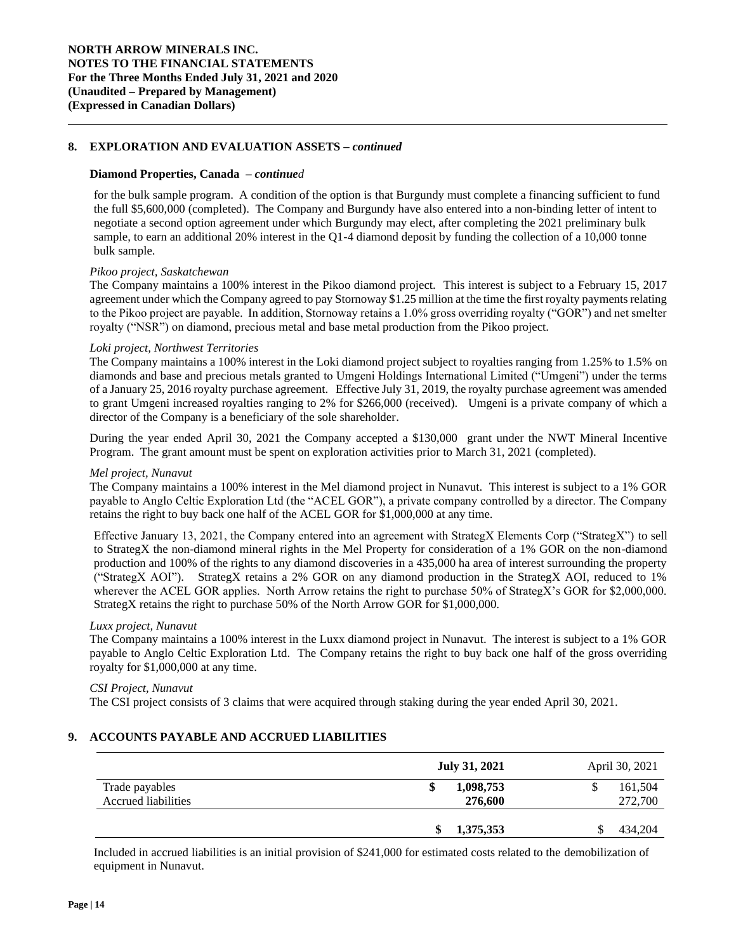## **8. EXPLORATION AND EVALUATION ASSETS –** *continued*

#### **Diamond Properties, Canada –** *continued*

for the bulk sample program. A condition of the option is that Burgundy must complete a financing sufficient to fund the full \$5,600,000 (completed). The Company and Burgundy have also entered into a non-binding letter of intent to negotiate a second option agreement under which Burgundy may elect, after completing the 2021 preliminary bulk sample, to earn an additional 20% interest in the Q1-4 diamond deposit by funding the collection of a 10,000 tonne bulk sample.

#### *Pikoo project, Saskatchewan*

The Company maintains a 100% interest in the Pikoo diamond project. This interest is subject to a February 15, 2017 agreement under which the Company agreed to pay Stornoway \$1.25 million at the time the first royalty payments relating to the Pikoo project are payable. In addition, Stornoway retains a 1.0% gross overriding royalty ("GOR") and net smelter royalty ("NSR") on diamond, precious metal and base metal production from the Pikoo project.

#### *Loki project, Northwest Territories*

The Company maintains a 100% interest in the Loki diamond project subject to royalties ranging from 1.25% to 1.5% on diamonds and base and precious metals granted to Umgeni Holdings International Limited ("Umgeni") under the terms of a January 25, 2016 royalty purchase agreement. Effective July 31, 2019, the royalty purchase agreement was amended to grant Umgeni increased royalties ranging to 2% for \$266,000 (received). Umgeni is a private company of which a director of the Company is a beneficiary of the sole shareholder.

During the year ended April 30, 2021 the Company accepted a \$130,000 grant under the NWT Mineral Incentive Program. The grant amount must be spent on exploration activities prior to March 31, 2021 (completed).

#### *Mel project, Nunavut*

The Company maintains a 100% interest in the Mel diamond project in Nunavut. This interest is subject to a 1% GOR payable to Anglo Celtic Exploration Ltd (the "ACEL GOR"), a private company controlled by a director. The Company retains the right to buy back one half of the ACEL GOR for \$1,000,000 at any time.

Effective January 13, 2021, the Company entered into an agreement with StrategX Elements Corp ("StrategX") to sell to StrategX the non-diamond mineral rights in the Mel Property for consideration of a 1% GOR on the non-diamond production and 100% of the rights to any diamond discoveries in a 435,000 ha area of interest surrounding the property ("StrategX AOI"). StrategX retains a 2% GOR on any diamond production in the StrategX AOI, reduced to 1% wherever the ACEL GOR applies. North Arrow retains the right to purchase 50% of StrategX's GOR for \$2,000,000. StrategX retains the right to purchase 50% of the North Arrow GOR for \$1,000,000.

#### *Luxx project, Nunavut*

The Company maintains a 100% interest in the Luxx diamond project in Nunavut. The interest is subject to a 1% GOR payable to Anglo Celtic Exploration Ltd. The Company retains the right to buy back one half of the gross overriding royalty for \$1,000,000 at any time.

#### *CSI Project, Nunavut*

The CSI project consists of 3 claims that were acquired through staking during the year ended April 30, 2021.

# **9. ACCOUNTS PAYABLE AND ACCRUED LIABILITIES**

|                                       | <b>July 31, 2021</b>       | April 30, 2021     |
|---------------------------------------|----------------------------|--------------------|
| Trade payables<br>Accrued liabilities | 1,098,753<br>\$<br>276,600 | 161,504<br>272,700 |
|                                       | 1,375,353                  | 434,204            |

Included in accrued liabilities is an initial provision of \$241,000 for estimated costs related to the demobilization of equipment in Nunavut.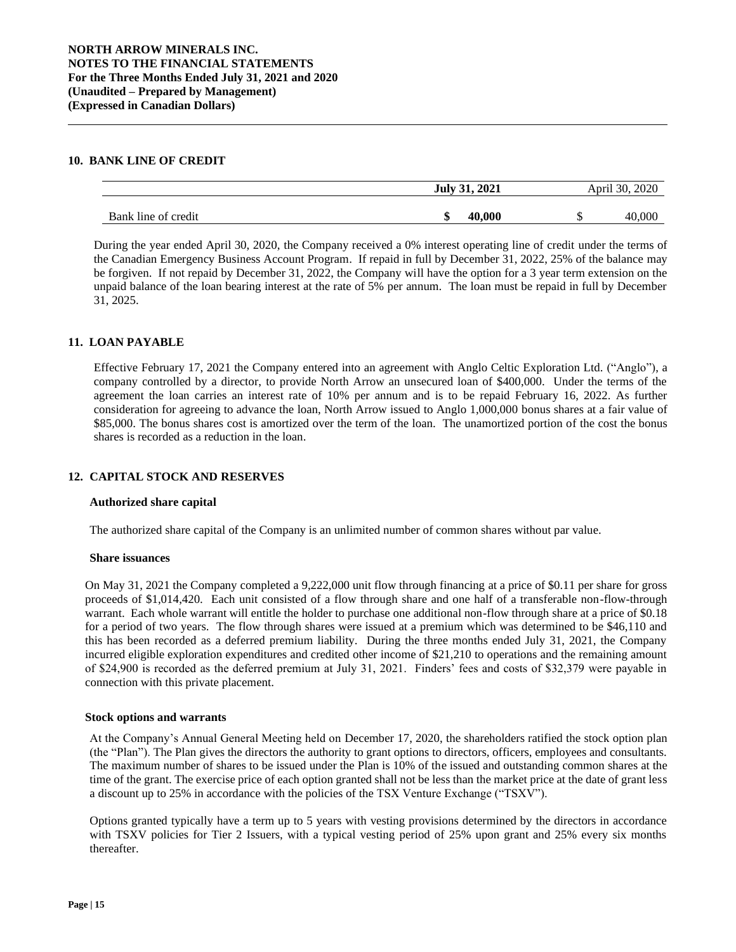## **10. BANK LINE OF CREDIT**

|                     | July 31, 2021 |            | April 30, 2020 |        |
|---------------------|---------------|------------|----------------|--------|
| Bank line of credit | ۱D            | .000<br>40 |                | 40.000 |

During the year ended April 30, 2020, the Company received a 0% interest operating line of credit under the terms of the Canadian Emergency Business Account Program. If repaid in full by December 31, 2022, 25% of the balance may be forgiven. If not repaid by December 31, 2022, the Company will have the option for a 3 year term extension on the unpaid balance of the loan bearing interest at the rate of 5% per annum. The loan must be repaid in full by December 31, 2025.

## **11. LOAN PAYABLE**

Effective February 17, 2021 the Company entered into an agreement with Anglo Celtic Exploration Ltd. ("Anglo"), a company controlled by a director, to provide North Arrow an unsecured loan of \$400,000. Under the terms of the agreement the loan carries an interest rate of 10% per annum and is to be repaid February 16, 2022. As further consideration for agreeing to advance the loan, North Arrow issued to Anglo 1,000,000 bonus shares at a fair value of \$85,000. The bonus shares cost is amortized over the term of the loan. The unamortized portion of the cost the bonus shares is recorded as a reduction in the loan.

# **12. CAPITAL STOCK AND RESERVES**

#### **Authorized share capital**

The authorized share capital of the Company is an unlimited number of common shares without par value.

#### **Share issuances**

On May 31, 2021 the Company completed a 9,222,000 unit flow through financing at a price of \$0.11 per share for gross proceeds of \$1,014,420. Each unit consisted of a flow through share and one half of a transferable non-flow-through warrant. Each whole warrant will entitle the holder to purchase one additional non-flow through share at a price of \$0.18 for a period of two years. The flow through shares were issued at a premium which was determined to be \$46,110 and this has been recorded as a deferred premium liability. During the three months ended July 31, 2021, the Company incurred eligible exploration expenditures and credited other income of \$21,210 to operations and the remaining amount of \$24,900 is recorded as the deferred premium at July 31, 2021. Finders' fees and costs of \$32,379 were payable in connection with this private placement.

#### **Stock options and warrants**

At the Company's Annual General Meeting held on December 17, 2020, the shareholders ratified the stock option plan (the "Plan"). The Plan gives the directors the authority to grant options to directors, officers, employees and consultants. The maximum number of shares to be issued under the Plan is 10% of the issued and outstanding common shares at the time of the grant. The exercise price of each option granted shall not be less than the market price at the date of grant less a discount up to 25% in accordance with the policies of the TSX Venture Exchange ("TSXV").

Options granted typically have a term up to 5 years with vesting provisions determined by the directors in accordance with TSXV policies for Tier 2 Issuers, with a typical vesting period of 25% upon grant and 25% every six months thereafter.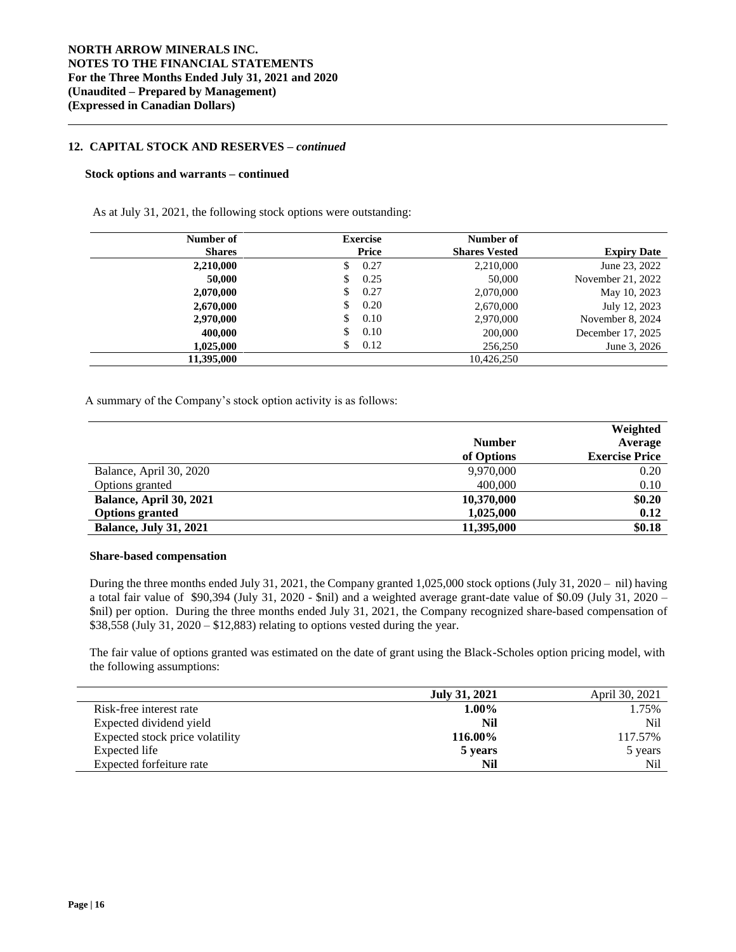### **12. CAPITAL STOCK AND RESERVES –** *continued*

#### **Stock options and warrants – continued**

As at July 31, 2021, the following stock options were outstanding:

| Number of     | <b>Exercise</b> | Number of            |                    |
|---------------|-----------------|----------------------|--------------------|
| <b>Shares</b> | Price           | <b>Shares Vested</b> | <b>Expiry Date</b> |
| 2,210,000     | 0.27<br>S       | 2,210,000            | June 23, 2022      |
| 50,000        | 0.25<br>S       | 50,000               | November 21, 2022  |
| 2,070,000     | 0.27<br>S       | 2,070,000            | May 10, 2023       |
| 2,670,000     | 0.20<br>S       | 2,670,000            | July 12, 2023      |
| 2,970,000     | 0.10<br>S       | 2,970,000            | November 8, 2024   |
| 400.000       | \$<br>0.10      | 200,000              | December 17, 2025  |
| 1.025.000     | \$<br>0.12      | 256,250              | June 3, 2026       |
| 11,395,000    |                 | 10,426,250           |                    |

A summary of the Company's stock option activity is as follows:

|                               |               | Weighted              |
|-------------------------------|---------------|-----------------------|
|                               | <b>Number</b> | Average               |
|                               | of Options    | <b>Exercise Price</b> |
| Balance, April 30, 2020       | 9,970,000     | 0.20                  |
| Options granted               | 400,000       | 0.10                  |
| Balance, April 30, 2021       | 10,370,000    | \$0.20                |
| <b>Options granted</b>        | 1,025,000     | 0.12                  |
| <b>Balance, July 31, 2021</b> | 11,395,000    | \$0.18                |

## **Share-based compensation**

During the three months ended July 31, 2021, the Company granted 1,025,000 stock options (July 31, 2020 – nil) having a total fair value of \$90,394 (July 31, 2020 - \$nil) and a weighted average grant-date value of \$0.09 (July 31, 2020 – \$nil) per option. During the three months ended July 31, 2021, the Company recognized share-based compensation of \$38,558 (July 31, 2020 – \$12,883) relating to options vested during the year.

The fair value of options granted was estimated on the date of grant using the Black-Scholes option pricing model, with the following assumptions:

|                                 | <b>July 31, 2021</b> | April 30, 2021 |
|---------------------------------|----------------------|----------------|
| Risk-free interest rate         | $1.00\%$             | 1.75%          |
| Expected dividend yield         | Nil                  | Nil            |
| Expected stock price volatility | 116.00%              | 117.57%        |
| Expected life                   | 5 years              | 5 years        |
| Expected forfeiture rate        | Nil                  | Nil            |

L.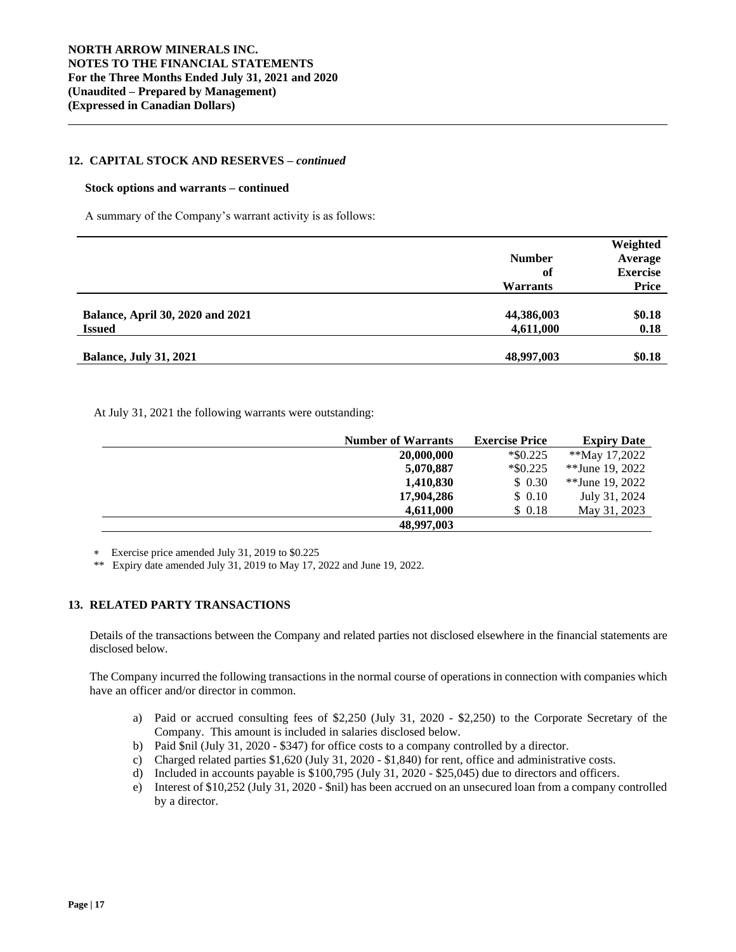#### **12. CAPITAL STOCK AND RESERVES –** *continued*

#### **Stock options and warrants – continued**

A summary of the Company's warrant activity is as follows:

|                                         |                 | Weighted        |
|-----------------------------------------|-----------------|-----------------|
|                                         | <b>Number</b>   | Average         |
|                                         | of              | <b>Exercise</b> |
|                                         | <b>Warrants</b> | <b>Price</b>    |
|                                         |                 |                 |
| <b>Balance, April 30, 2020 and 2021</b> | 44,386,003      | \$0.18          |
| <b>Issued</b>                           | 4,611,000       | 0.18            |
|                                         |                 |                 |
| <b>Balance, July 31, 2021</b>           | 48,997,003      | \$0.18          |

At July 31, 2021 the following warrants were outstanding:

| <b>Number of Warrants</b> | <b>Exercise Price</b> | <b>Expiry Date</b> |
|---------------------------|-----------------------|--------------------|
| 20,000,000                | $*$ \$0.225           | **May 17,2022      |
| 5,070,887                 | $*$ \$0.225           | **June 19, 2022    |
| 1,410,830                 | \$0.30                | **June 19, 2022    |
| 17,904,286                | \$ 0.10               | July 31, 2024      |
| 4,611,000                 | \$ 0.18               | May 31, 2023       |
| 48,997,003                |                       |                    |

Exercise price amended July 31, 2019 to \$0.225

\*\* Expiry date amended July 31, 2019 to May 17, 2022 and June 19, 2022.

# **13. RELATED PARTY TRANSACTIONS**

Details of the transactions between the Company and related parties not disclosed elsewhere in the financial statements are disclosed below.

The Company incurred the following transactions in the normal course of operations in connection with companies which have an officer and/or director in common.

- a) Paid or accrued consulting fees of \$2,250 (July 31, 2020 \$2,250) to the Corporate Secretary of the Company. This amount is included in salaries disclosed below.
- b) Paid \$nil (July 31, 2020 \$347) for office costs to a company controlled by a director.
- c) Charged related parties \$1,620 (July 31, 2020 \$1,840) for rent, office and administrative costs.
- d) Included in accounts payable is \$100,795 (July 31, 2020 \$25,045) due to directors and officers.
- e) Interest of \$10,252 (July 31, 2020 \$nil) has been accrued on an unsecured loan from a company controlled by a director.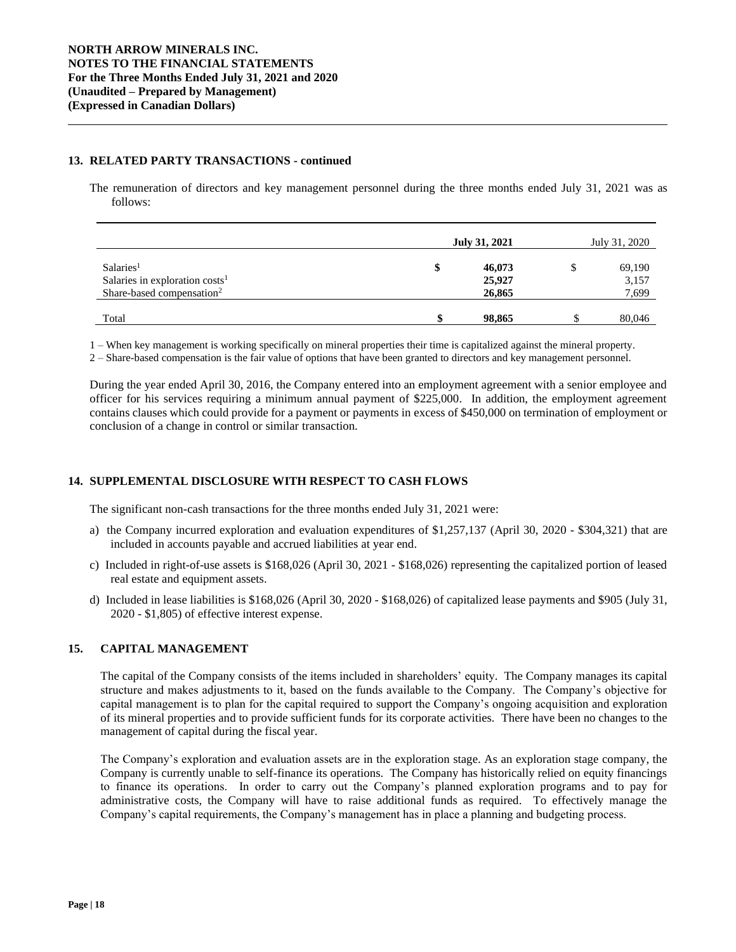#### **13. RELATED PARTY TRANSACTIONS - continued**

The remuneration of directors and key management personnel during the three months ended July 31, 2021 was as follows:

|                                                                                                              | July 31, 2021 |                            | July 31, 2020 |                          |
|--------------------------------------------------------------------------------------------------------------|---------------|----------------------------|---------------|--------------------------|
| Salaries <sup>1</sup><br>Salaries in exploration costs <sup>1</sup><br>Share-based compensation <sup>2</sup> | \$            | 46,073<br>25,927<br>26,865 |               | 69,190<br>3,157<br>7,699 |
| Total                                                                                                        |               | 98,865                     |               | 80,046                   |

1 – When key management is working specifically on mineral properties their time is capitalized against the mineral property.

2 – Share-based compensation is the fair value of options that have been granted to directors and key management personnel.

During the year ended April 30, 2016, the Company entered into an employment agreement with a senior employee and officer for his services requiring a minimum annual payment of \$225,000. In addition, the employment agreement contains clauses which could provide for a payment or payments in excess of \$450,000 on termination of employment or conclusion of a change in control or similar transaction.

# **14. SUPPLEMENTAL DISCLOSURE WITH RESPECT TO CASH FLOWS**

The significant non-cash transactions for the three months ended July 31, 2021 were:

- a) the Company incurred exploration and evaluation expenditures of \$1,257,137 (April 30, 2020 \$304,321) that are included in accounts payable and accrued liabilities at year end.
- c) Included in right-of-use assets is \$168,026 (April 30, 2021 \$168,026) representing the capitalized portion of leased real estate and equipment assets.
- d) Included in lease liabilities is \$168,026 (April 30, 2020 \$168,026) of capitalized lease payments and \$905 (July 31, 2020 - \$1,805) of effective interest expense.

# **15. CAPITAL MANAGEMENT**

The capital of the Company consists of the items included in shareholders' equity. The Company manages its capital structure and makes adjustments to it, based on the funds available to the Company. The Company's objective for capital management is to plan for the capital required to support the Company's ongoing acquisition and exploration of its mineral properties and to provide sufficient funds for its corporate activities. There have been no changes to the management of capital during the fiscal year.

The Company's exploration and evaluation assets are in the exploration stage. As an exploration stage company, the Company is currently unable to self-finance its operations. The Company has historically relied on equity financings to finance its operations. In order to carry out the Company's planned exploration programs and to pay for administrative costs, the Company will have to raise additional funds as required. To effectively manage the Company's capital requirements, the Company's management has in place a planning and budgeting process.